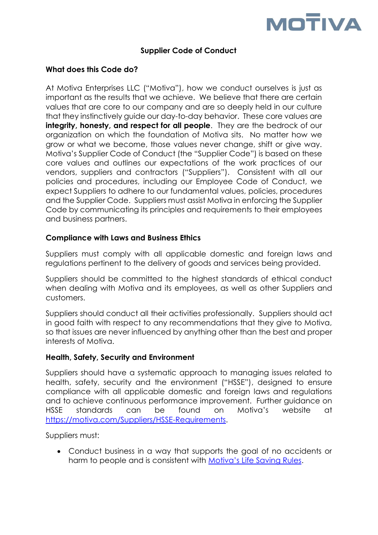

# **Supplier Code of Conduct**

### **What does this Code do?**

At Motiva Enterprises LLC ("Motiva"), how we conduct ourselves is just as important as the results that we achieve. We believe that there are certain values that are core to our company and are so deeply held in our culture that they instinctively guide our day-to-day behavior. These core values are **integrity, honesty, and respect for all people**. They are the bedrock of our organization on which the foundation of Motiva sits. No matter how we grow or what we become, those values never change, shift or give way. Motiva's Supplier Code of Conduct (the "Supplier Code") is based on these core values and outlines our expectations of the work practices of our vendors, suppliers and contractors ("Suppliers"). Consistent with all our policies and procedures, including our Employee Code of Conduct, we expect Suppliers to adhere to our fundamental values, policies, procedures and the Supplier Code. Suppliers must assist Motiva in enforcing the Supplier Code by communicating its principles and requirements to their employees and business partners.

### **Compliance with Laws and Business Ethics**

Suppliers must comply with all applicable domestic and foreign laws and regulations pertinent to the delivery of goods and services being provided.

Suppliers should be committed to the highest standards of ethical conduct when dealing with Motiva and its employees, as well as other Suppliers and customers.

Suppliers should conduct all their activities professionally. Suppliers should act in good faith with respect to any recommendations that they give to Motiva, so that issues are never influenced by anything other than the best and proper interests of Motiva.

#### **Health, Safety, Security and Environment**

Suppliers should have a systematic approach to managing issues related to health, safety, security and the environment ("HSSE"), designed to ensure compliance with all applicable domestic and foreign laws and regulations and to achieve continuous performance improvement. Further guidance on HSSE standards can be found on Motiva's website at [https://motiva.com/Suppliers/HSSE-Requirements.](https://motiva.com/Suppliers/HSSE-Requirements)

Suppliers must:

• Conduct business in a way that supports the goal of no accidents or harm to people and is consistent with [Motiva's Life Saving Rules](https://motiva.com/-/media/Files/HSE/Motiva-Life-Saving-Rules.ashx).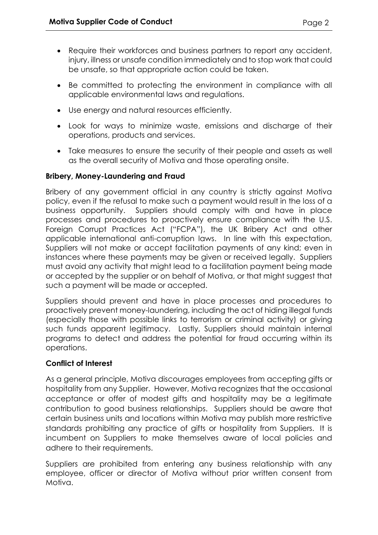- Require their workforces and business partners to report any accident, injury, illness or unsafe condition immediately and to stop work that could be unsafe, so that appropriate action could be taken.
- Be committed to protecting the environment in compliance with all applicable environmental laws and regulations.
- Use energy and natural resources efficiently.
- Look for ways to minimize waste, emissions and discharge of their operations, products and services.
- Take measures to ensure the security of their people and assets as well as the overall security of Motiva and those operating onsite.

## **Bribery, Money-Laundering and Fraud**

Bribery of any government official in any country is strictly against Motiva policy, even if the refusal to make such a payment would result in the loss of a business opportunity. Suppliers should comply with and have in place processes and procedures to proactively ensure compliance with the U.S. Foreign Corrupt Practices Act ("FCPA"), the UK Bribery Act and other applicable international anti-corruption laws. In line with this expectation, Suppliers will not make or accept facilitation payments of any kind; even in instances where these payments may be given or received legally. Suppliers must avoid any activity that might lead to a facilitation payment being made or accepted by the supplier or on behalf of Motiva, or that might suggest that such a payment will be made or accepted.

Suppliers should prevent and have in place processes and procedures to proactively prevent money-laundering, including the act of hiding illegal funds (especially those with possible links to terrorism or criminal activity) or giving such funds apparent legitimacy. Lastly, Suppliers should maintain internal programs to detect and address the potential for fraud occurring within its operations.

#### **Conflict of Interest**

As a general principle, Motiva discourages employees from accepting gifts or hospitality from any Supplier. However, Motiva recognizes that the occasional acceptance or offer of modest gifts and hospitality may be a legitimate contribution to good business relationships. Suppliers should be aware that certain business units and locations within Motiva may publish more restrictive standards prohibiting any practice of gifts or hospitality from Suppliers. It is incumbent on Suppliers to make themselves aware of local policies and adhere to their requirements.

Suppliers are prohibited from entering any business relationship with any employee, officer or director of Motiva without prior written consent from Motiva.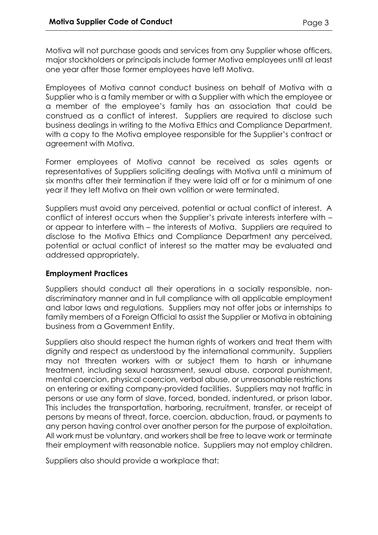Motiva will not purchase [go](http://gotso/DocumentCenter/policies/definitions/Wiki%20Pages/Goods%20and%20Services.aspx)ods and services from any Supplier whose officers, major stockholders or principals include former Motiva employees until at least one year after those former employees have left Motiva.

Employees of Motiva cannot conduct business on behalf of Motiva with a Supplier who is a family member or with a Supplier with which the employee or a member of the employee's family has an association that could be construed as a conflict of interest. Suppliers are required to disclose such business dealings in writing to the Motiva Ethics and Compliance Department, with a copy to the Motiva employee responsible for the Supplier's contract or agreement with Motiva.

Former employees of Motiva cannot be received as sales agents or representatives of Suppliers soliciting dealings with Motiva until a minimum of six months after their termination if they were laid off or for a minimum of one year if they left Motiva on their own volition or were terminated.

Suppliers must avoid any perceived, potential or actual conflict of interest. A conflict of interest occurs when the Supplier's private interests interfere with – or appear to interfere with – the interests of Motiva. Suppliers are required to disclose to the Motiva Ethics and Compliance Department any perceived, potential or actual conflict of interest so the matter may be evaluated and addressed appropriately.

## **Employment Practices**

Suppliers should conduct all their operations in a socially responsible, nondiscriminatory manner and in full compliance with all applicable employment and labor laws and regulations. Suppliers may not offer jobs or internships to family members of a Foreign Official to assist the Supplier or Motiva in obtaining business from a Government Entity.

Suppliers also should respect the human rights of workers and treat them with dignity and respect as understood by the international community. Suppliers may not threaten workers with or subject them to harsh or inhumane treatment, including sexual harassment, sexual abuse, corporal punishment, mental coercion, physical coercion, verbal abuse, or unreasonable restrictions on entering or exiting company-provided facilities. Suppliers may not traffic in persons or use any form of slave, forced, bonded, indentured, or prison labor. This includes the transportation, harboring, recruitment, transfer, or receipt of persons by means of threat, force, coercion, abduction, fraud, or payments to any person having control over another person for the purpose of exploitation. All work must be voluntary, and workers shall be free to leave work or terminate their employment with reasonable notice. Suppliers may not employ children.

Suppliers also should provide a workplace that: